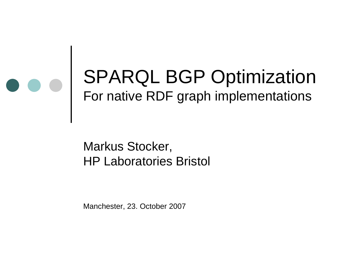

Markus Stocker, HP Laboratories Bristol

Manchester, 23. October 2007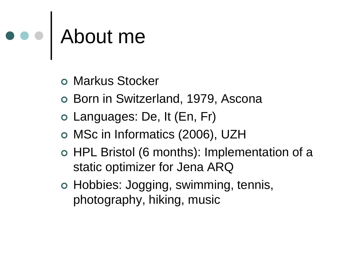# About me

- Markus Stocker
- o Born in Switzerland, 1979, Ascona
- Languages: De, It (En, Fr)
- MSc in Informatics (2006), UZH
- HPL Bristol (6 months): Implementation of a static optimizer for Jena ARQ
- Hobbies: Jogging, swimming, tennis, photography, hiking, music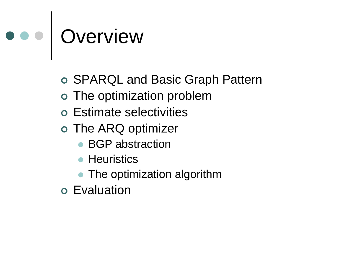# o o | Overview

- SPARQL and Basic Graph Pattern
- The optimization problem
- Estimate selectivities
- The ARQ optimizer
	- BGP abstraction
	- **Heuristics**
	- The optimization algorithm
- Evaluation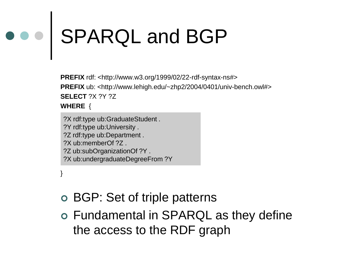# SPARQL and BGP

**PREFIX** rdf: <http://www.w3.org/1999/02/22-rdf-syntax-ns#> **PREFIX** ub: <http://www.lehigh.edu/~zhp2/2004/0401/univ-bench.owl#> **SELECT** ?X ?Y ?Z **WHERE** {

?X rdf:type ub:GraduateStudent . ?Y rdf:type ub:University . ?Z rdf:type ub:Department . ?X ub:memberOf ?Z . ?Z ub:subOrganizationOf ?Y . ?X ub:undergraduateDegreeFrom ?Y

}

- BGP: Set of triple patterns
- Fundamental in SPARQL as they define the access to the RDF graph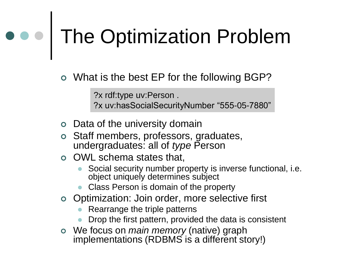# ••• The Optimization Problem

What is the best EP for the following BGP?

?x rdf:type uv:Person . ?x uv:hasSocialSecurityNumber "555-05-7880"

- Data of the university domain
- Staff members, professors, graduates, undergraduates: all of *type* Person
- OWL schema states that,
	- Social security number property is inverse functional, i.e. object uniquely determines subject
	- Class Person is domain of the property
- Optimization: Join order, more selective first
	- Rearrange the triple patterns
	- Drop the first pattern, provided the data is consistent
- We focus on *main memory* (native) graph implementations (RDBMS is a different story!)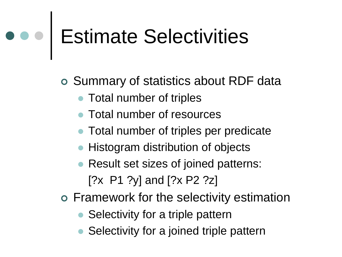# Estimate Selectivities

Summary of statistics about RDF data

- Total number of triples
- Total number of resources
- Total number of triples per predicate
- Histogram distribution of objects
- Result set sizes of joined patterns: [?x P1 ?y] and [?x P2 ?z]
- Framework for the selectivity estimation
	- Selectivity for a triple pattern
	- Selectivity for a joined triple pattern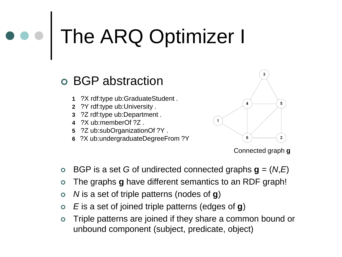## The ARQ Optimizer I

### BGP abstraction

- **1** ?X rdf:type ub:GraduateStudent .
- **2** ?Y rdf:type ub:University .
- **3** ?Z rdf:type ub:Department .
- **4** ?X ub:memberOf ?Z .
- **5** ?Z ub:subOrganizationOf ?Y .
- **6** ?X ub:undergraduateDegreeFrom ?Y



Connected graph **g**

- BGP is a set *G* of undirected connected graphs **g** = (*N*,*E*)
- The graphs **g** have different semantics to an RDF graph!
- *N* is a set of triple patterns (nodes of **g**)
- *E* is a set of joined triple patterns (edges of **g**)
- Triple patterns are joined if they share a common bound or unbound component (subject, predicate, object)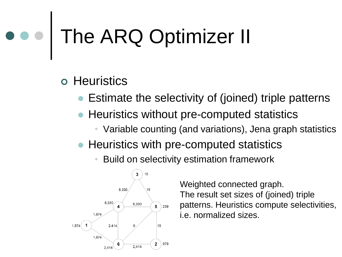### The ARQ Optimizer II

### o Heuristics

- Estimate the selectivity of (joined) triple patterns
- Heuristics without pre-computed statistics
	- Variable counting (and variations), Jena graph statistics
- Heuristics with pre-computed statistics
	- Build on selectivity estimation framework



Weighted connected graph. The result set sizes of (joined) triple patterns. Heuristics compute selectivities, i.e. normalized sizes.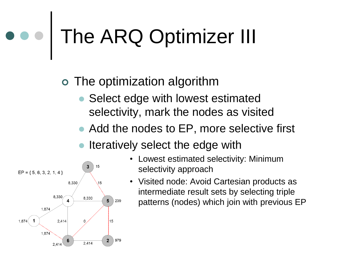### The ARQ Optimizer III

### The optimization algorithm

- Select edge with lowest estimated selectivity, mark the nodes as visited
- Add the nodes to EP, more selective first
- Iteratively select the edge with



- Lowest estimated selectivity: Minimum selectivity approach
- Visited node: Avoid Cartesian products as intermediate result sets by selecting triple patterns (nodes) which join with previous EP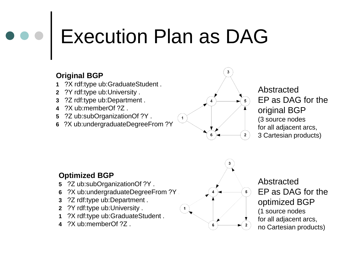## Execution Plan as DAG

#### **Original BGP**

- **1** ?X rdf:type ub:GraduateStudent .
- **2** ?Y rdf:type ub:University .
- **3** ?Z rdf:type ub:Department .
- **4** ?X ub:memberOf ?Z .
- **5** ?Z ub:subOrganizationOf ?Y .
- **6** ?X ub:undergraduateDegreeFrom ?Y



#### Abstracted EP as DAG for the original BGP (3 source nodes for all adjacent arcs, 3 Cartesian products)

#### **Optimized BGP**

- **5** ?Z ub:subOrganizationOf ?Y .
- **6** ?X ub:undergraduateDegreeFrom ?Y .
- **3** ?Z rdf:type ub:Department .
- **2** ?Y rdf:type ub:University .
- **1** ?X rdf:type ub:GraduateStudent .
- **4** ?X ub:memberOf ?Z .



Abstracted EP as DAG for the optimized BGP (1 source nodes for all adjacent arcs, no Cartesian products)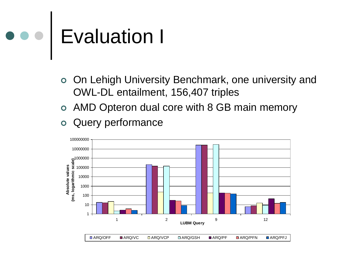## Evaluation I

- On Lehigh University Benchmark, one university and OWL-DL entailment, 156,407 triples
- AMD Opteron dual core with 8 GB main memory
- Query performance

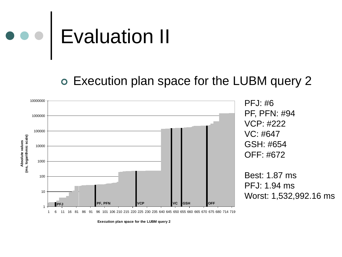

#### Execution plan space for the LUBM query 2

![](_page_11_Figure_2.jpeg)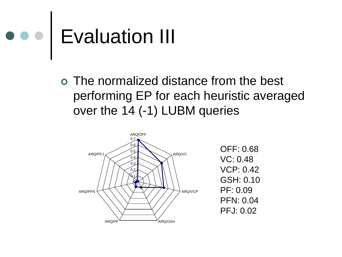![](_page_12_Picture_0.jpeg)

 The normalized distance from the best performing EP for each heuristic averaged over the 14 (-1) LUBM queries

![](_page_12_Figure_2.jpeg)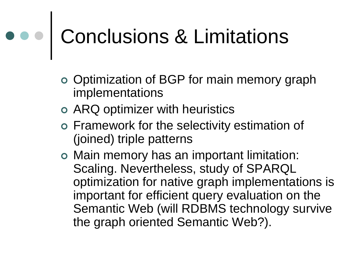# Conclusions & Limitations

- Optimization of BGP for main memory graph implementations
- ARQ optimizer with heuristics
- Framework for the selectivity estimation of (joined) triple patterns
- Main memory has an important limitation: Scaling. Nevertheless, study of SPARQL optimization for native graph implementations is important for efficient query evaluation on the Semantic Web (will RDBMS technology survive the graph oriented Semantic Web?).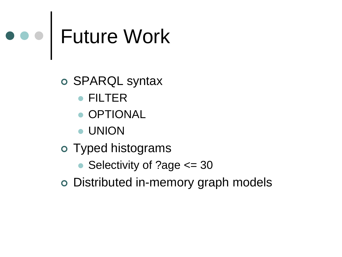# Future Work

SPARQL syntax

- FILTER
- **OPTIONAL**
- UNION
- Typed histograms
	- Selectivity of ?age <= 30
- Distributed in-memory graph models